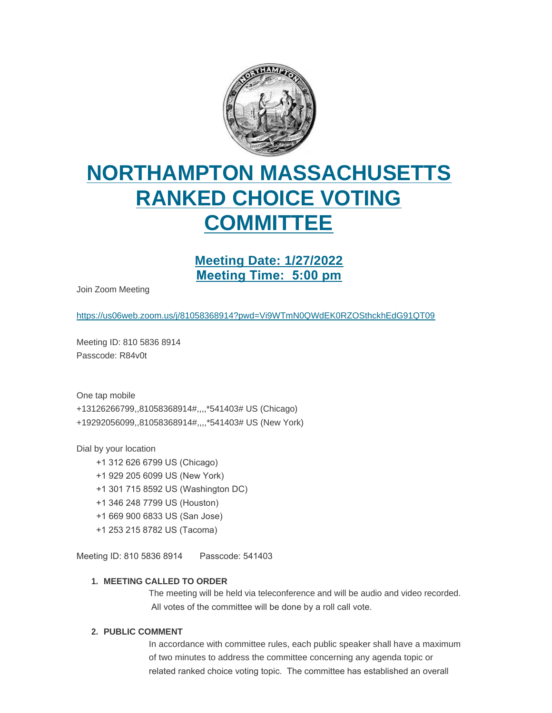

# **NORTHAMPTON MASSACHUSETTS RANKED CHOICE VOTING COMMITTEE**

## **Meeting Date: 1/27/2022 Meeting Time: 5:00 pm**

Join Zoom Meeting

<https://us06web.zoom.us/j/81058368914?pwd=Vi9WTmN0QWdEK0RZOSthckhEdG91QT09>

Meeting ID: 810 5836 8914 Passcode: R84v0t

One tap mobile +13126266799,,81058368914#,,,,\*541403# US (Chicago) +19292056099,,81058368914#,,,,\*541403# US (New York)

Dial by your location

- +1 312 626 6799 US (Chicago)
- +1 929 205 6099 US (New York)
- +1 301 715 8592 US (Washington DC)
- +1 346 248 7799 US (Houston)
- +1 669 900 6833 US (San Jose)
- +1 253 215 8782 US (Tacoma)

Meeting ID: 810 5836 8914 Passcode: 541403

### **MEETING CALLED TO ORDER 1.**

The meeting will be held via teleconference and will be audio and video recorded. All votes of the committee will be done by a roll call vote.

#### **PUBLIC COMMENT 2.**

In accordance with committee rules, each public speaker shall have a maximum of two minutes to address the committee concerning any agenda topic or related ranked choice voting topic. The committee has established an overall